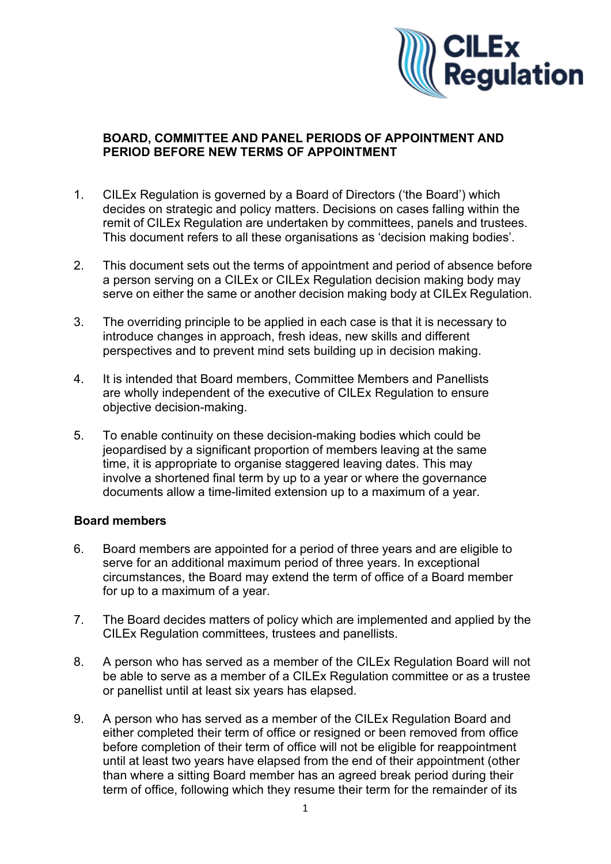

## **BOARD, COMMITTEE AND PANEL PERIODS OF APPOINTMENT AND PERIOD BEFORE NEW TERMS OF APPOINTMENT**

- 1. CILEx Regulation is governed by a Board of Directors ('the Board') which decides on strategic and policy matters. Decisions on cases falling within the remit of CILEx Regulation are undertaken by committees, panels and trustees. This document refers to all these organisations as 'decision making bodies'.
- 2. This document sets out the terms of appointment and period of absence before a person serving on a CILEx or CILEx Regulation decision making body may serve on either the same or another decision making body at CILEx Regulation.
- 3. The overriding principle to be applied in each case is that it is necessary to introduce changes in approach, fresh ideas, new skills and different perspectives and to prevent mind sets building up in decision making.
- 4. It is intended that Board members, Committee Members and Panellists are wholly independent of the executive of CILEx Regulation to ensure objective decision-making.
- 5. To enable continuity on these decision-making bodies which could be jeopardised by a significant proportion of members leaving at the same time, it is appropriate to organise staggered leaving dates. This may involve a shortened final term by up to a year or where the governance documents allow a time-limited extension up to a maximum of a year.

## **Board members**

- 6. Board members are appointed for a period of three years and are eligible to serve for an additional maximum period of three years. In exceptional circumstances, the Board may extend the term of office of a Board member for up to a maximum of a year.
- 7. The Board decides matters of policy which are implemented and applied by the CILEx Regulation committees, trustees and panellists.
- 8. A person who has served as a member of the CILEx Regulation Board will not be able to serve as a member of a CILEx Regulation committee or as a trustee or panellist until at least six years has elapsed.
- 9. A person who has served as a member of the CILEx Regulation Board and either completed their term of office or resigned or been removed from office before completion of their term of office will not be eligible for reappointment until at least two years have elapsed from the end of their appointment (other than where a sitting Board member has an agreed break period during their term of office, following which they resume their term for the remainder of its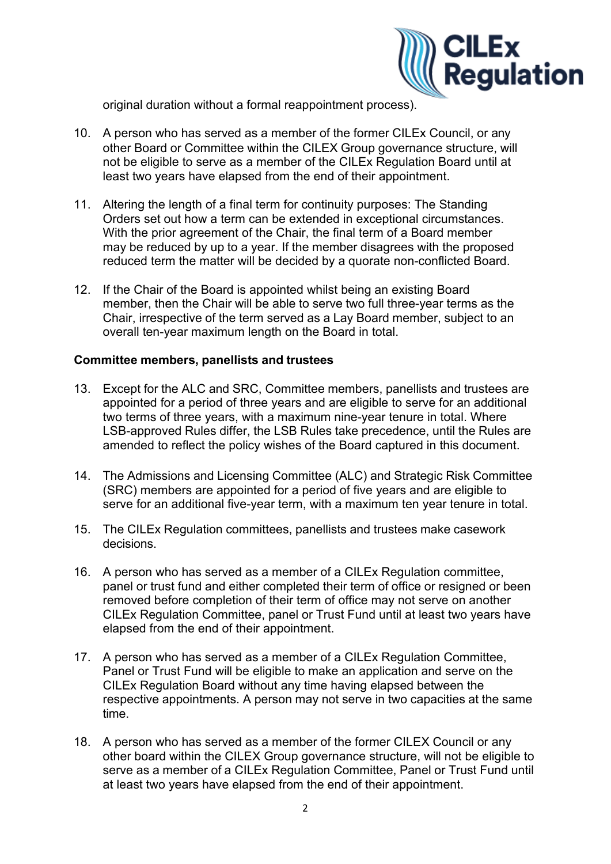

original duration without a formal reappointment process).

- 10. A person who has served as a member of the former CILEx Council, or any other Board or Committee within the CILEX Group governance structure, will not be eligible to serve as a member of the CILEx Regulation Board until at least two years have elapsed from the end of their appointment.
- 11. Altering the length of a final term for continuity purposes: The Standing Orders set out how a term can be extended in exceptional circumstances. With the prior agreement of the Chair, the final term of a Board member may be reduced by up to a year. If the member disagrees with the proposed reduced term the matter will be decided by a quorate non-conflicted Board.
- 12. If the Chair of the Board is appointed whilst being an existing Board member, then the Chair will be able to serve two full three-year terms as the Chair, irrespective of the term served as a Lay Board member, subject to an overall ten-year maximum length on the Board in total.

## **Committee members, panellists and trustees**

- 13. Except for the ALC and SRC, Committee members, panellists and trustees are appointed for a period of three years and are eligible to serve for an additional two terms of three years, with a maximum nine-year tenure in total. Where LSB-approved Rules differ, the LSB Rules take precedence, until the Rules are amended to reflect the policy wishes of the Board captured in this document.
- 14. The Admissions and Licensing Committee (ALC) and Strategic Risk Committee (SRC) members are appointed for a period of five years and are eligible to serve for an additional five-year term, with a maximum ten year tenure in total.
- 15. The CILEx Regulation committees, panellists and trustees make casework decisions.
- 16. A person who has served as a member of a CILEx Regulation committee, panel or trust fund and either completed their term of office or resigned or been removed before completion of their term of office may not serve on another CILEx Regulation Committee, panel or Trust Fund until at least two years have elapsed from the end of their appointment.
- 17. A person who has served as a member of a CILEx Regulation Committee, Panel or Trust Fund will be eligible to make an application and serve on the CILEx Regulation Board without any time having elapsed between the respective appointments. A person may not serve in two capacities at the same time.
- 18. A person who has served as a member of the former CILEX Council or any other board within the CILEX Group governance structure, will not be eligible to serve as a member of a CILEx Regulation Committee, Panel or Trust Fund until at least two years have elapsed from the end of their appointment.